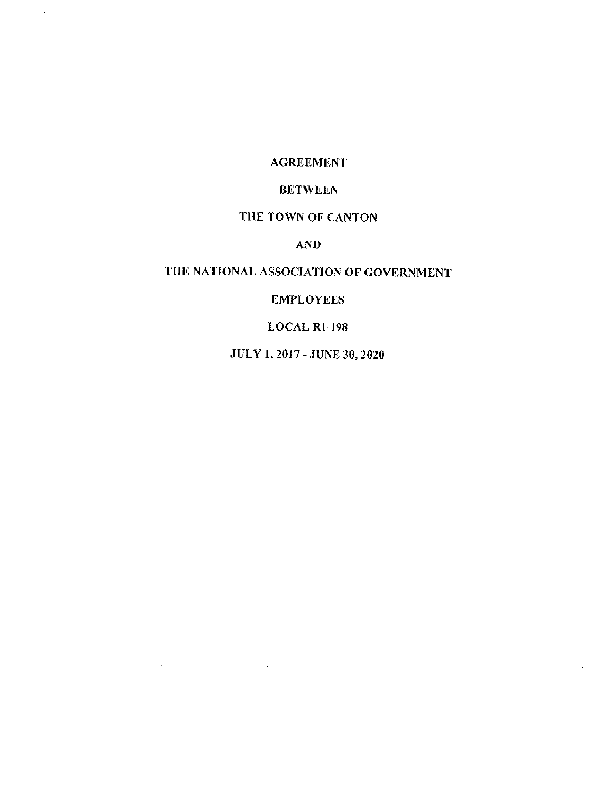#### **AGREEMENT**

 $\sim$ 

 $\sim 10^7$ 

## **BETWEEN**

#### THE TOWN OF CANTON

# **AND**

# THE NATIONAL ASSOCIATION OF GOVERNMENT

## **EMPLOYEES**

# $LOGAL$  R1-198

JULY 1, 2017 - JUNE 30, 2020

 $\mathcal{L}(\mathcal{L}^{\mathcal{L}})$  and  $\mathcal{L}(\mathcal{L}^{\mathcal{L}})$  and  $\mathcal{L}(\mathcal{L}^{\mathcal{L}})$ 

 $\mathcal{L}^{\text{max}}_{\text{max}}$  and  $\mathcal{L}^{\text{max}}_{\text{max}}$ 

 $\mathcal{L}^{\text{max}}_{\text{max}}$  and  $\mathcal{L}^{\text{max}}_{\text{max}}$ 

 $\mathcal{L}^{\mathcal{L}}_{\mathcal{L}}$  and  $\mathcal{L}^{\mathcal{L}}_{\mathcal{L}}$  and  $\mathcal{L}^{\mathcal{L}}_{\mathcal{L}}$ 

 $\mathcal{A}^{\mathrm{c}}$  and  $\mathcal{A}^{\mathrm{c}}$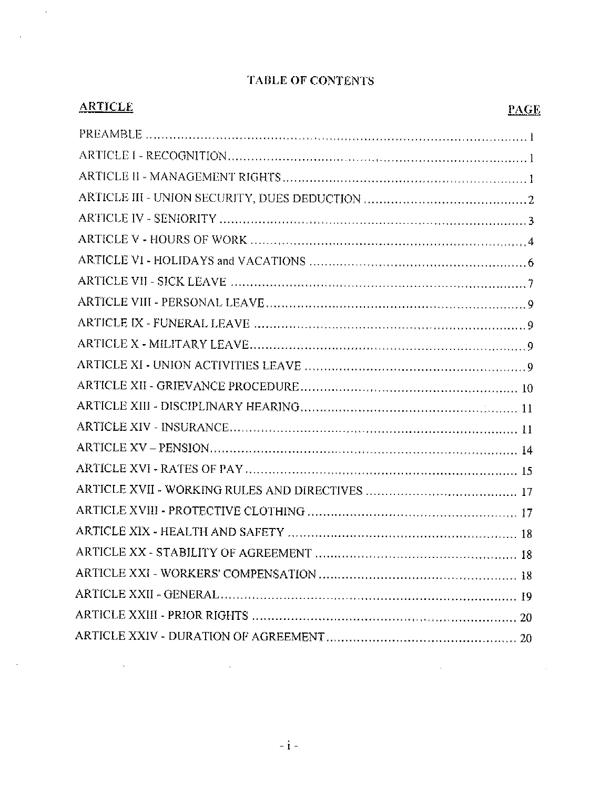| <b>ARTICLE</b> | <b>PAGE</b> |
|----------------|-------------|
|                |             |
|                |             |
|                |             |
|                |             |
|                |             |
|                |             |
|                |             |
|                |             |
|                |             |
|                |             |
|                |             |
|                |             |
|                |             |
|                |             |
|                |             |
|                |             |
|                |             |
|                |             |
|                |             |
|                |             |
|                |             |
|                |             |
|                |             |
|                |             |
|                |             |

# **TABLE OF CONTENTS**

 $\mathcal{L}_{\mathcal{A}}$ 

 $\sim$   $\alpha$ 

 $\mathcal{L}(\mathcal{L}(\mathcal{L}(\mathcal{L}(\mathcal{L}(\mathcal{L}(\mathcal{L}(\mathcal{L}(\mathcal{L}(\mathcal{L}(\mathcal{L}(\mathcal{L}(\mathcal{L}(\mathcal{L}(\mathcal{L}(\mathcal{L}(\mathcal{L}(\mathcal{L}(\mathcal{L}(\mathcal{L}(\mathcal{L}(\mathcal{L}(\mathcal{L}(\mathcal{L}(\mathcal{L}(\mathcal{L}(\mathcal{L}(\mathcal{L}(\mathcal{L}(\mathcal{L}(\mathcal{L}(\mathcal{L}(\mathcal{L}(\mathcal{L}(\mathcal{L}(\mathcal{L}(\mathcal{$ 

 $\sim 10^{-1}$ 

 $\mathcal{L}^{\mathcal{L}}(\mathcal{L}^{\mathcal{L}}(\mathcal{L}^{\mathcal{L}}(\mathcal{L}^{\mathcal{L}}(\mathcal{L}^{\mathcal{L}}(\mathcal{L}^{\mathcal{L}}(\mathcal{L}^{\mathcal{L}}(\mathcal{L}^{\mathcal{L}}(\mathcal{L}^{\mathcal{L}}(\mathcal{L}^{\mathcal{L}}(\mathcal{L}^{\mathcal{L}}(\mathcal{L}^{\mathcal{L}}(\mathcal{L}^{\mathcal{L}}(\mathcal{L}^{\mathcal{L}}(\mathcal{L}^{\mathcal{L}}(\mathcal{L}^{\mathcal{L}}(\mathcal{L}^{\mathcal{L$ 

 $\label{eq:2.1} \frac{1}{\sqrt{2}}\left(\frac{1}{\sqrt{2}}\right)^{2} \left(\frac{1}{\sqrt{2}}\right)^{2} \left(\frac{1}{\sqrt{2}}\right)^{2} \left(\frac{1}{\sqrt{2}}\right)^{2} \left(\frac{1}{\sqrt{2}}\right)^{2} \left(\frac{1}{\sqrt{2}}\right)^{2} \left(\frac{1}{\sqrt{2}}\right)^{2} \left(\frac{1}{\sqrt{2}}\right)^{2} \left(\frac{1}{\sqrt{2}}\right)^{2} \left(\frac{1}{\sqrt{2}}\right)^{2} \left(\frac{1}{\sqrt{2}}\right)^{2} \left(\$ 

 $\sim$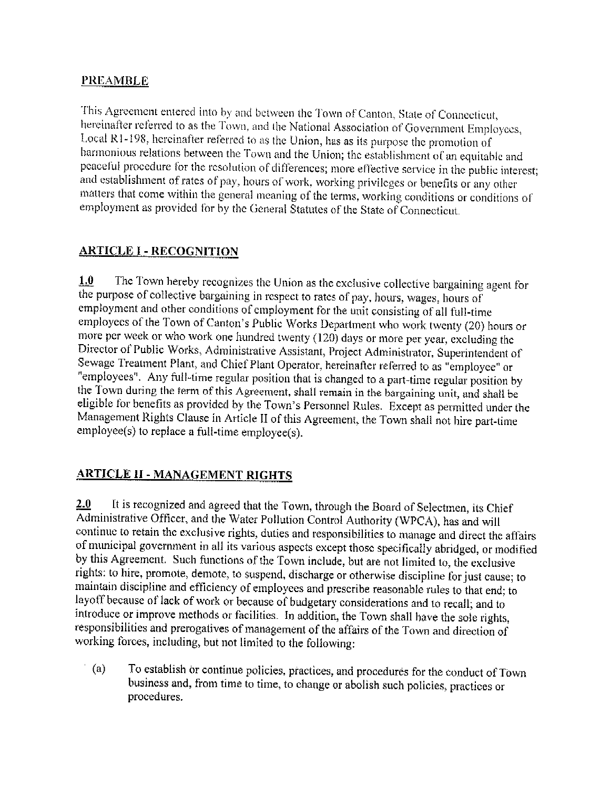## **PREAMBLE**

This Agreement entered into by and between the Town of Canton, State of Connecticut, hereinafter referred to as the Town, and the National Association of Government Employees, Local R1-198, hereinafter referred to as the Union, has as its purpose the promotion of harmonious relations between the Town and the Union; the establishment of an equitable and peaceful procedure for the resolution of differences; more effective service in the public interest; and establishment of rates of pay, hours of work, working privileges or benefits or any other matters that come within the general meaning of the terms, working conditions or conditions of employment as provided for by the General Statutes of the State of Connecticut.

# **ARTICLE I - RECOGNITION**

 $1.0$ The Town hereby recognizes the Union as the exclusive collective bargaining agent for the purpose of collective bargaining in respect to rates of pay, hours, wages, hours of employment and other conditions of employment for the unit consisting of all full-time employees of the Town of Canton's Public Works Department who work twenty (20) hours or more per week or who work one hundred twenty (120) days or more per year, excluding the Director of Public Works, Administrative Assistant, Project Administrator, Superintendent of Sewage Treatment Plant, and Chief Plant Operator, hereinafter referred to as "employee" or "employees". Any full-time regular position that is changed to a part-time regular position by the Town during the term of this Agreement, shall remain in the bargaining unit, and shall be eligible for benefits as provided by the Town's Personnel Rules. Except as permitted under the Management Rights Clause in Article II of this Agreement, the Town shall not hire part-time employee(s) to replace a full-time employee(s).

# **ARTICLE II - MANAGEMENT RIGHTS**

It is recognized and agreed that the Town, through the Board of Selectmen, its Chief 2.0 Administrative Officer, and the Water Pollution Control Authority (WPCA), has and will continue to retain the exclusive rights, duties and responsibilities to manage and direct the affairs of municipal government in all its various aspects except those specifically abridged, or modified by this Agreement. Such functions of the Town include, but are not limited to, the exclusive rights: to hire, promote, demote, to suspend, discharge or otherwise discipline for just cause; to maintain discipline and efficiency of employees and prescribe reasonable rules to that end; to layoff because of lack of work or because of budgetary considerations and to recall; and to introduce or improve methods or facilities. In addition, the Town shall have the sole rights, responsibilities and prerogatives of management of the affairs of the Town and direction of working forces, including, but not limited to the following:

 $(a)$ To establish or continue policies, practices, and procedures for the conduct of Town business and, from time to time, to change or abolish such policies, practices or procedures.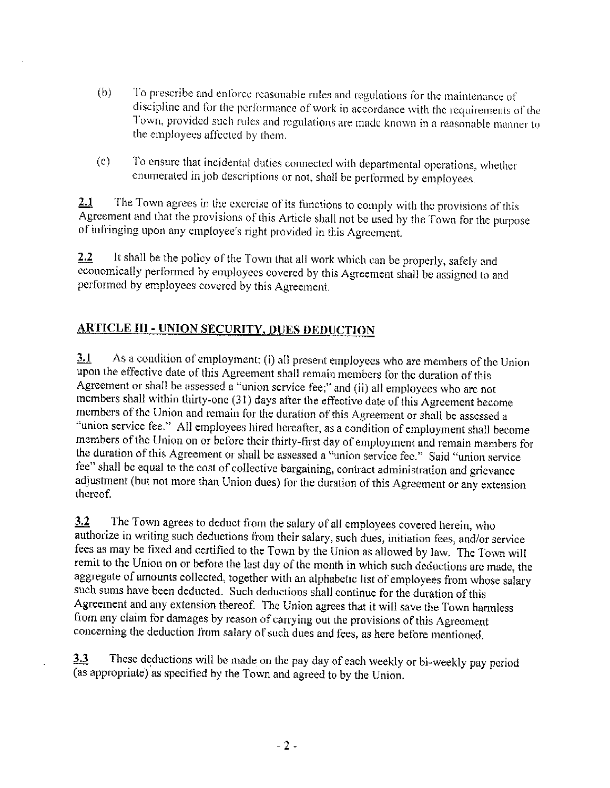- $(b)$ To prescribe and enforce reasonable rules and regulations for the maintenance of discipline and for the performance of work in accordance with the requirements of the Town, provided such rules and regulations are made known in a reasonable manner to the employees affected by them.
- To ensure that incidental duties connected with departmental operations, whether  $(c)$ enumerated in job descriptions or not, shall be performed by employees.

The Town agrees in the exercise of its functions to comply with the provisions of this  $2.1$ Agreement and that the provisions of this Article shall not be used by the Town for the purpose of infringing upon any employee's right provided in this Agreement.

It shall be the policy of the Town that all work which can be properly, safely and  $2.2$ economically performed by employees covered by this Agreement shall be assigned to and performed by employees covered by this Agreement.

# **ARTICLE III - UNION SECURITY, DUES DEDUCTION**

As a condition of employment: (i) all present employees who are members of the Union  $3.1$ upon the effective date of this Agreement shall remain members for the duration of this Agreement or shall be assessed  $\alpha$  "union service fee;" and (ii) all employees who are not members shall within thirty-one (31) days after the effective date of this Agreement become members of the Union and remain for the duration of this Agreement or shall be assessed a "union service fee." All employees hired hereafter, as a condition of employment shall become members of the Union on or before their thirty-first day of employment and remain members for the duration of this Agreement or shall be assessed a "union service fee." Said "union service fee" shall be equal to the cost of collective bargaining, contract administration and grievance adjustment (but not more than Union dues) for the duration of this Agreement or any extension thereof.

 $3.2$ The Town agrees to deduct from the salary of all employees covered herein, who authorize in writing such deductions from their salary, such dues, initiation fees, and/or service fees as may be fixed and certified to the Town by the Union as allowed by law. The Town will remit to the Union on or before the last day of the month in which such deductions are made, the aggregate of amounts collected, together with an alphabetic list of employees from whose salary such sums have been deducted. Such deductions shall continue for the duration of this Agreement and any extension thereof. The Union agrees that it will save the Town harmless from any claim for damages by reason of carrying out the provisions of this Agreement concerning the deduction from salary of such dues and fees, as here before mentioned.

These deductions will be made on the pay day of each weekly or bi-weekly pay period  $3.3$ (as appropriate) as specified by the Town and agreed to by the Union.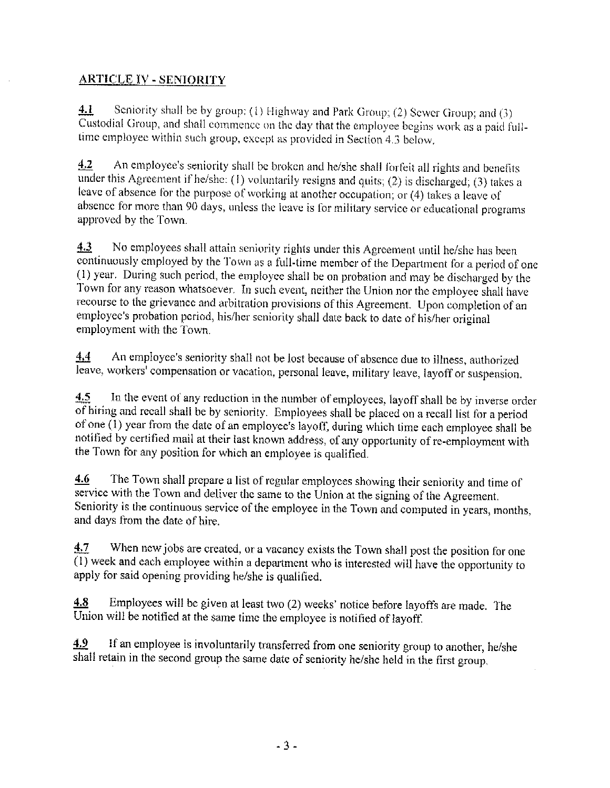# **ARTICLE IV - SENIORITY**

 $4.1$ Seniority shall be by group: (1) Highway and Park Group; (2) Sewer Group; and (3) Custodial Group, and shall commence on the day that the employee begins work as a paid fulltime employee within such group, except as provided in Section 4.3 below.

An employee's seniority shall be broken and he/she shall forfeit all rights and benefits  $4.2$ under this Agreement if he/she: (1) voluntarily resigns and quits; (2) is discharged; (3) takes a leave of absence for the purpose of working at another occupation; or (4) takes a leave of absence for more than 90 days, unless the leave is for military service or educational programs approved by the Town.

 $4.3$ No employees shall attain seniority rights under this Agreement until he/she has been continuously employed by the Town as a full-time member of the Department for a period of one (1) year. During such period, the employee shall be on probation and may be discharged by the Town for any reason whatsoever. In such event, neither the Union nor the employee shall have recourse to the grievance and arbitration provisions of this Agreement. Upon completion of an employee's probation period, his/her seniority shall date back to date of his/her original employment with the Town.

An employee's seniority shall not be lost because of absence due to illness, authorized  $4,4$ leave, workers' compensation or vacation, personal leave, military leave, layoff or suspension.

In the event of any reduction in the number of employees, layoff shall be by inverse order 4.5 of hiring and recall shall be by seniority. Employees shall be placed on a recall list for a period of one (1) year from the date of an employee's layoff, during which time each employee shall be notified by certified mail at their last known address, of any opportunity of re-employment with the Town for any position for which an employee is qualified.

The Town shall prepare a list of regular employees showing their seniority and time of 4.6 service with the Town and deliver the same to the Union at the signing of the Agreement. Seniority is the continuous service of the employee in the Town and computed in years, months, and days from the date of hire.

4.7 When new jobs are created, or a vacancy exists the Town shall post the position for one  $\overline{(1)}$  week and each employee within a department who is interested will have the opportunity to apply for said opening providing he/she is qualified.

Employees will be given at least two (2) weeks' notice before layoffs are made. The 4.8 Union will be notified at the same time the employee is notified of layoff.

If an employee is involuntarily transferred from one seniority group to another, he/she 4.9 shall retain in the second group the same date of seniority he/she held in the first group.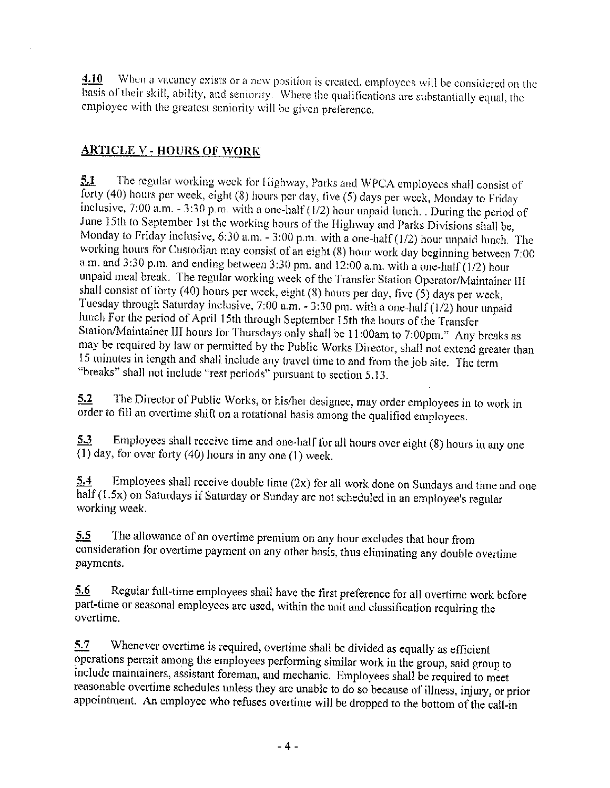When a vacancy exists or a new position is created, employees will be considered on the  $4.10$ basis of their skill, ability, and seniority. Where the qualifications are substantially equal, the employee with the greatest seniority will be given preference.

# <u>ARTICLE V - HOURS OF WORK</u>

 $5.1$ The regular working week for Highway, Parks and WPCA employees shall consist of forty (40) hours per week, eight (8) hours per day, five (5) days per week, Monday to Friday inclusive, 7:00 a.m. - 3:30 p.m. with a one-half  $(1/2)$  hour unpaid lunch. During the period of June 15th to September 1st the working hours of the Highway and Parks Divisions shall be, Monday to Friday inclusive, 6:30 a.m.  $-3:00$  p.m. with a one-half (1/2) hour unpaid lunch. The working hours for Custodian may consist of an eight (8) hour work day beginning between 7:00 a.m. and 3:30 p.m. and ending between 3:30 pm. and 12:00 a.m. with a one-half  $(1/2)$  hour unpaid meal break. The regular working week of the Transfer Station Operator/Maintainer III shall consist of forty (40) hours per week, eight (8) hours per day, five (5) days per week, Tuesday through Saturday inclusive, 7:00 a.m. - 3:30 pm. with a one-half (1/2) hour unpaid lunch For the period of April 15th through September 15th the hours of the Transfer Station/Maintainer III hours for Thursdays only shall be 11:00am to 7:00pm." Any breaks as may be required by law or permitted by the Public Works Director, shall not extend greater than 15 minutes in length and shall include any travel time to and from the job site. The term "breaks" shall not include "rest periods" pursuant to section 5.13.

The Director of Public Works, or his/her designee, may order employees in to work in  $5.2$ order to fill an overtime shift on a rotational basis among the qualified employees.

Employees shall receive time and one-half for all hours over eight (8) hours in any one 5.3  $\overline{(1)}$  day, for over forty (40) hours in any one (1) week.

Employees shall receive double time  $(2x)$  for all work done on Sundays and time and one 5.4 half (1.5x) on Saturdays if Saturday or Sunday are not scheduled in an employee's regular working week.

The allowance of an overtime premium on any hour excludes that hour from 5.5 consideration for overtime payment on any other basis, thus eliminating any double overtime payments.

Regular full-time employees shall have the first preference for all overtime work before  $5.6$ part-time or seasonal employees are used, within the unit and classification requiring the overtime.

Whenever overtime is required, overtime shall be divided as equally as efficient  $5.7$ operations permit among the employees performing similar work in the group, said group to include maintainers, assistant foreman, and mechanic. Employees shall be required to meet reasonable overtime schedules unless they are unable to do so because of illness, injury, or prior appointment. An employee who refuses overtime will be dropped to the bottom of the call-in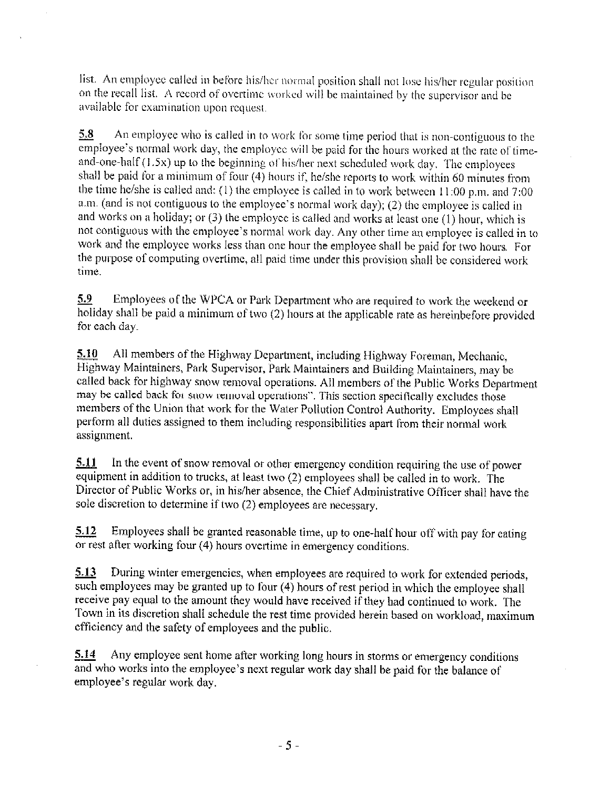list. An employee called in before his/her normal position shall not lose his/her regular position on the recall list. A record of overtime worked will be maintained by the supervisor and be available for examination upon request.

 $5.8$ An employee who is called in to work for some time period that is non-contiguous to the employee's normal work day, the employee will be paid for the hours worked at the rate of timeand-one-half (1.5x) up to the beginning of his/her next scheduled work day. The employees shall be paid for a minimum of four  $(4)$  hours if, he/she reports to work within 60 minutes from the time he/she is called and: (1) the employee is called in to work between  $11:00$  p.m. and  $7:00$ a.m. (and is not contiguous to the employee's normal work day); (2) the employee is called in and works on a holiday; or  $(3)$  the employee is called and works at least one  $(1)$  hour, which is not contiguous with the employee's normal work day. Any other time an employee is called in to work and the employee works less than one hour the employee shall be paid for two hours. For the purpose of computing overtime, all paid time under this provision shall be considered work time.

5.9 Employees of the WPCA or Park Department who are required to work the weekend or holiday shall be paid a minimum of two (2) hours at the applicable rate as hereinbefore provided for each day.

All members of the Highway Department, including Highway Foreman, Mechanic, 5.10 Highway Maintainers, Park Supervisor, Park Maintainers and Building Maintainers, may be called back for highway snow removal operations. All members of the Public Works Department may be called back for snow removal operations". This section specifically excludes those members of the Union that work for the Water Pollution Control Authority. Employees shall perform all duties assigned to them including responsibilities apart from their normal work assignment.

In the event of snow removal or other emergency condition requiring the use of power 5.11 equipment in addition to trucks, at least two (2) employees shall be called in to work. The Director of Public Works or, in his/her absence, the Chief Administrative Officer shall have the sole discretion to determine if two (2) employees are necessary.

Employees shall be granted reasonable time, up to one-half hour off with pay for eating 5.12 or rest after working four (4) hours overtime in emergency conditions.

5.13 During winter emergencies, when employees are required to work for extended periods, such employees may be granted up to four (4) hours of rest period in which the employee shall receive pay equal to the amount they would have received if they had continued to work. The Town in its discretion shall schedule the rest time provided herein based on workload, maximum efficiency and the safety of employees and the public.

Any employee sent home after working long hours in storms or emergency conditions 5.14 and who works into the employee's next regular work day shall be paid for the balance of employee's regular work day.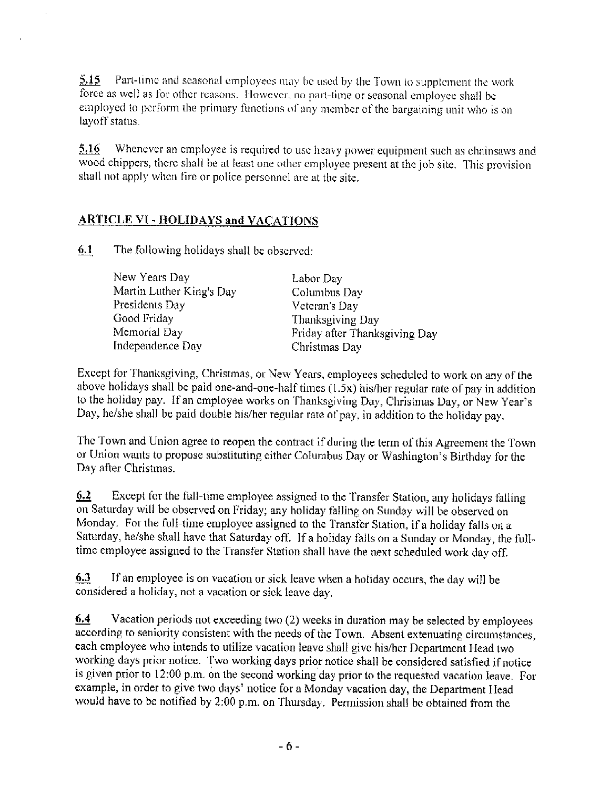Part-time and seasonal employees may be used by the Town to supplement the work 5.15 force as well as for other reasons. However, no part-time or seasonal employee shall be employed to perform the primary functions of any member of the bargaining unit who is on layoff status.

Whenever an employee is required to use heavy power equipment such as chainsaws and 5.16 wood chippers, there shall be at least one other employee present at the job site. This provision shall not apply when fire or police personnel are at the site.

## **ARTICLE VI - HOLIDAYS and VACATIONS**

6.1 The following holidays shall be observed:

> New Years Day Martin Luther King's Day Presidents Day Good Friday Memorial Day Independence Day

Labor Day Columbus Day Veteran's Day Thanksgiving Day Friday after Thanksgiving Day Christmas Day

Except for Thanksgiving, Christmas, or New Years, employees scheduled to work on any of the above holidays shall be paid one-and-one-half times (1.5x) his/her regular rate of pay in addition to the holiday pay. If an employee works on Thanksgiving Day, Christmas Day, or New Year's Day, he/she shall be paid double his/her regular rate of pay, in addition to the holiday pay.

The Town and Union agree to reopen the contract if during the term of this Agreement the Town or Union wants to propose substituting either Columbus Day or Washington's Birthday for the Day after Christmas.

6.2 Except for the full-time employee assigned to the Transfer Station, any holidays falling on Saturday will be observed on Friday; any holiday falling on Sunday will be observed on Monday. For the full-time employee assigned to the Transfer Station, if a holiday falls on a Saturday, he/she shall have that Saturday off. If a holiday falls on a Sunday or Monday, the fulltime employee assigned to the Transfer Station shall have the next scheduled work day off.

 $6.3$ If an employee is on vacation or sick leave when a holiday occurs, the day will be considered a holiday, not a vacation or sick leave day.

 $6.4$ Vacation periods not exceeding two (2) weeks in duration may be selected by employees according to seniority consistent with the needs of the Town. Absent extenuating circumstances, each employee who intends to utilize vacation leave shall give his/her Department Head two working days prior notice. Two working days prior notice shall be considered satisfied if notice is given prior to 12:00 p.m. on the second working day prior to the requested vacation leave. For example, in order to give two days' notice for a Monday vacation day, the Department Head would have to be notified by 2:00 p.m. on Thursday. Permission shall be obtained from the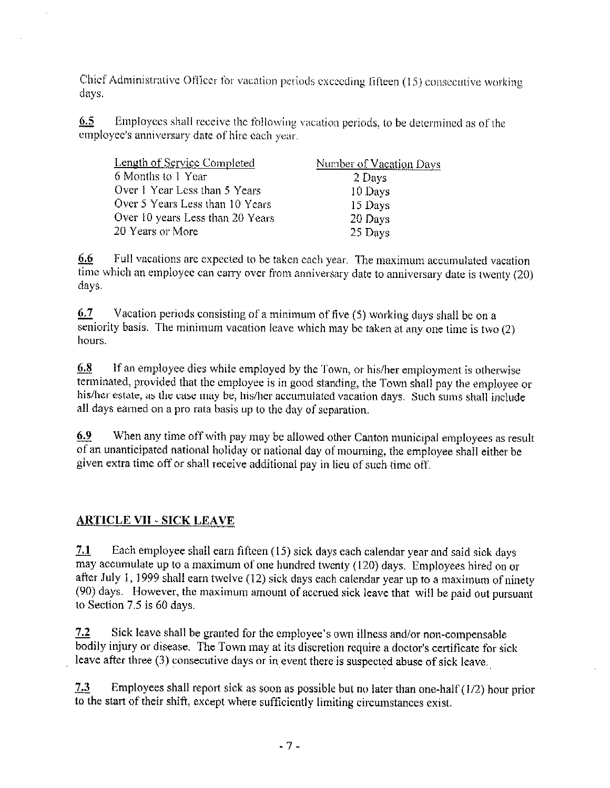Chief Administrative Officer for vacation periods exceeding fifteen (15) consecutive working days.

 $6.5$ Employees shall receive the following vacation periods, to be determined as of the employee's anniversary date of hire each year.

| <b>Length of Service Completed</b> | Number of Vacation Days |
|------------------------------------|-------------------------|
| 6 Months to 1 Year                 | 2 Days                  |
| Over 1 Year Less than 5 Years      | 10 Days                 |
| Over 5 Years Less than 10 Years    | 15 Days                 |
| Over 10 years Less than 20 Years   | 20 Days                 |
| 20 Years or More                   | 25 Days                 |

6,6 Full vacations are expected to be taken each year. The maximum accumulated vacation time which an employee can carry over from anniversary date to anniversary date is twenty (20) days.

 $6.7$ Vacation periods consisting of a minimum of five (5) working days shall be on a seniority basis. The minimum vacation leave which may be taken at any one time is two  $(2)$ hours.

6.8 If an employee dies while employed by the Town, or his/her employment is otherwise terminated, provided that the employee is in good standing, the Town shall pay the employee or his/her estate, as the case may be, his/her accumulated vacation days. Such sums shall include all days earned on a pro rata basis up to the day of separation.

6.9 When any time off with pay may be allowed other Canton municipal employees as result of an unanticipated national holiday or national day of mourning, the employee shall either be given extra time off or shall receive additional pay in lieu of such time off.

# **ARTICLE VII - SICK LEAVE**

 $7.1$ Each employee shall earn fifteen (15) sick days each calendar year and said sick days may accumulate up to a maximum of one hundred twenty (120) days. Employees hired on or after July 1, 1999 shall earn twelve (12) sick days each calendar year up to a maximum of ninety (90) days. However, the maximum amount of accrued sick leave that will be paid out pursuant to Section 7.5 is 60 days.

 $7.2$ Sick leave shall be granted for the employee's own illness and/or non-compensable bodily injury or disease. The Town may at its discretion require a doctor's certificate for sick leave after three (3) consecutive days or in event there is suspected abuse of sick leave.

Employees shall report sick as soon as possible but no later than one-half  $(1/2)$  hour prior  $7.3$ to the start of their shift, except where sufficiently limiting circumstances exist.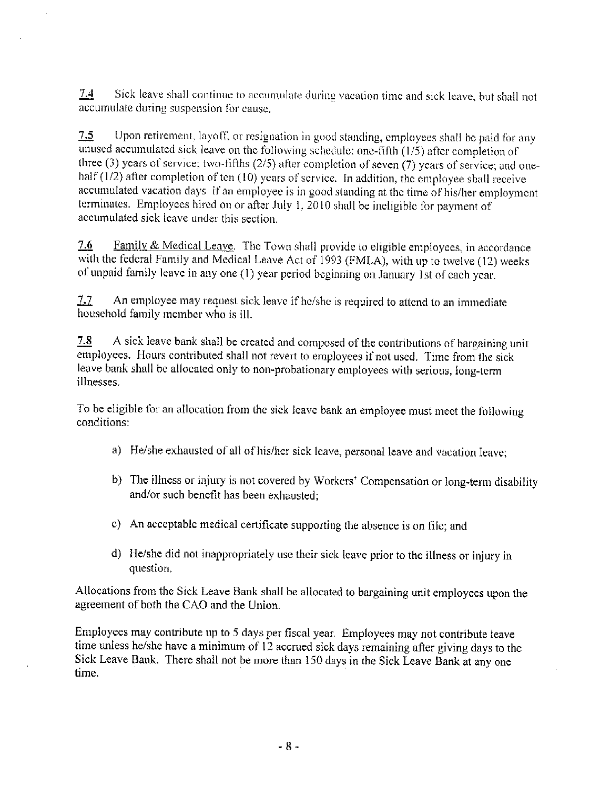$7.4$ Sick leave shall continue to accumulate during vacation time and sick leave, but shall not accumulate during suspension for cause.

 $7.5$ Upon retirement, layoff, or resignation in good standing, employees shall be paid for any unused accumulated sick leave on the following schedule: one-fifth (1/5) after completion of three (3) years of service; two-fifths  $(2/5)$  after completion of seven (7) years of service; and onebalf  $(1/2)$  after completion of ten  $(10)$  years of service. In addition, the employee shall receive accumulated vacation days if an employee is in good standing at the time of his/her employment terminates. Employees hired on or after July 1,  $2010$  shall be incligible for payment of accumulated sick leave under this section.

Family & Medical Leave. The Town shall provide to eligible employees, in accordance 7.6 with the federal Family and Medical Leave Act of 1993 (FMLA), with up to twelve (12) weeks of unpaid family leave in any one (1) year period beginning on January 1st of each year.

7.7 An employee may request sick leave if he/she is required to attend to an immediate household family member who is ill.

7.8 A sick leave bank shall be created and composed of the contributions of bargaining unit employees. Hours contributed shall not revert to employees if not used. Time from the sick leave bank shall be allocated only to non-probationary employees with serious, long-term illnesses.

To be eligible for an allocation from the sick leave bank an employee must meet the following conditions:

- a) He/she exhausted of all of his/her sick leave, personal leave and vacation leave;
- b) The illness or injury is not covered by Workers' Compensation or long-term disability and/or such benefit has been exhausted:
- c) An acceptable medical certificate supporting the absence is on file; and
- d) He/she did not inappropriately use their sick leave prior to the illness or injury in question.

Allocations from the Sick Leave Bank shall be allocated to bargaining unit employees upon the agreement of both the CAO and the Union.

Employees may contribute up to 5 days per fiscal year. Employees may not contribute leave time unless he/she have a minimum of 12 accrued sick days remaining after giving days to the Sick Leave Bank. There shall not be more than 150 days in the Sick Leave Bank at any one time.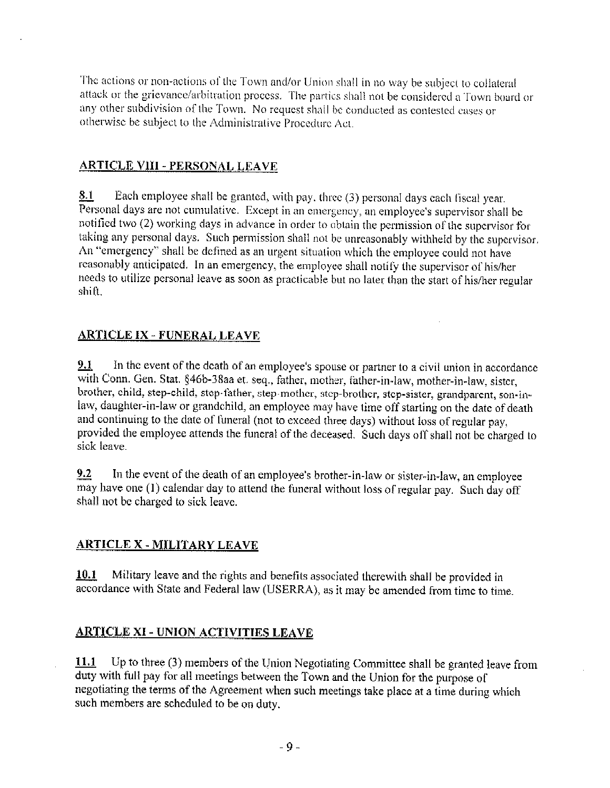The actions or non-actions of the Town and/or Union shall in no way be subject to collateral attack or the grievance/arbitration process. The parties shall not be considered a Town board or any other subdivision of the Town. No request shall be conducted as contested cases or otherwise be subject to the Administrative Procedure Act.

#### **ARTICLE VIII - PERSONAL LEAVE**

Each employee shall be granted, with pay, three (3) personal days each fiscal year. 8.1 Personal days are not cumulative. Except in an emergency, an employee's supervisor shall be notified two (2) working days in advance in order to obtain the permission of the supervisor for taking any personal days. Such permission shall not be unreasonably withheld by the supervisor. An "emergency" shall be defined as an urgent situation which the employee could not have reasonably anticipated. In an emergency, the employee shall notify the supervisor of his/her needs to utilize personal leave as soon as practicable but no later than the start of his/her regular shift.

## **ARTICLE IX - FUNERAL LEAVE**

 $9.1$ In the event of the death of an employee's spouse or partner to a civil union in accordance with Conn. Gen. Stat. §46b-38aa et. seq., father, mother, father-in-law, mother-in-law, sister, brother, child, step-child, step-father, step-mother, step-brother, step-sister, grandparent, son-inlaw, daughter-in-law or grandchild, an employee may have time off starting on the date of death and continuing to the date of funeral (not to exceed three days) without loss of regular pay, provided the employee attends the funeral of the deceased. Such days off shall not be charged to sick leave.

In the event of the death of an employee's brother-in-law or sister-in-law, an employee  $9.2$ may have one (1) calendar day to attend the funeral without loss of regular pay. Such day off shall not be charged to sick leave.

#### **ARTICLE X - MILITARY LEAVE**

Military leave and the rights and benefits associated therewith shall be provided in  $10.1$ accordance with State and Federal law (USERRA), as it may be amended from time to time.

#### **ARTICLE XI - UNION ACTIVITIES LEAVE**

Up to three (3) members of the Union Negotiating Committee shall be granted leave from 11.1 duty with full pay for all meetings between the Town and the Union for the purpose of negotiating the terms of the Agreement when such meetings take place at a time during which such members are scheduled to be on duty.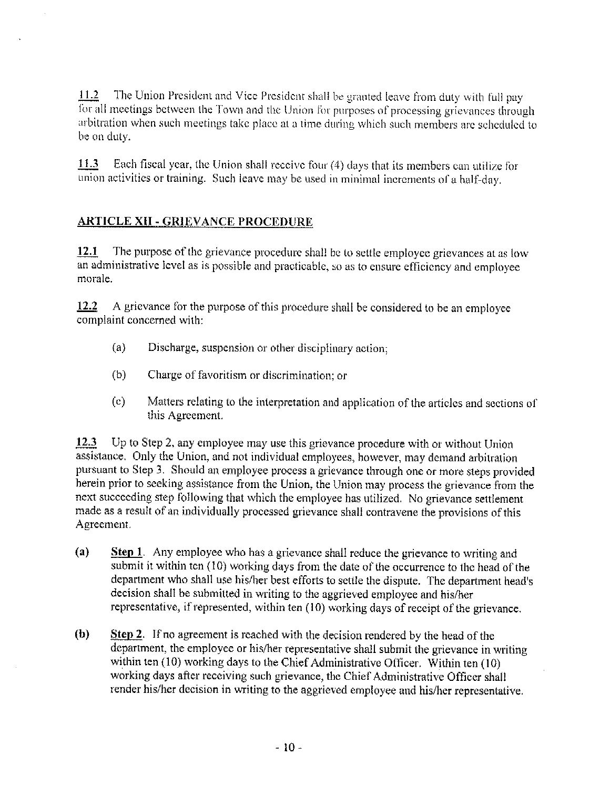$11.2$ The Union President and Vice President shall be granted leave from duty with full pay for all meetings between the Town and the Union for purposes of processing grievances through arbitration when such meetings take place at a time during which such members are scheduled to be on duty.

Each fiscal year, the Union shall receive four (4) days that its members can utilize for 11.3 union activities or training. Such leave may be used in minimal increments of a half-day.

# **ARTICLE XII - GRIEVANCE PROCEDURE**

The purpose of the grievance procedure shall be to settle employee grievances at as low 12.1 an administrative level as is possible and practicable, so as to ensure efficiency and employee morale.

 $12.2$ A grievance for the purpose of this procedure shall be considered to be an employee complaint concerned with:

- $(a)$ Discharge, suspension or other disciplinary action;
- $(b)$ Charge of favoritism or discrimination; or
- Matters relating to the interpretation and application of the articles and sections of  $\left( c\right)$ this Agreement.

12.3 Up to Step 2, any employee may use this grievance procedure with or without Union assistance. Only the Union, and not individual employees, however, may demand arbitration pursuant to Step 3. Should an employee process a grievance through one or more steps provided herein prior to sceking assistance from the Union, the Union may process the grievance from the next succeeding step following that which the employee has utilized. No grievance settlement made as a result of an individually processed grievance shall contravene the provisions of this Agreement.

- (a) **Step 1.** Any employee who has a grievance shall reduce the grievance to writing and submit it within ten (10) working days from the date of the occurrence to the head of the department who shall use his/her best efforts to settle the dispute. The department head's decision shall be submitted in writing to the aggrieved employee and his/her representative, if represented, within ten (10) working days of receipt of the grievance.
- Step 2. If no agreement is reached with the decision rendered by the head of the  $(b)$ department, the employee or his/her representative shall submit the grievance in writing within ten  $(10)$  working days to the Chief Administrative Officer. Within ten  $(10)$ working days after receiving such grievance, the Chief Administrative Officer shall render his/her decision in writing to the aggrieved employee and his/her representative.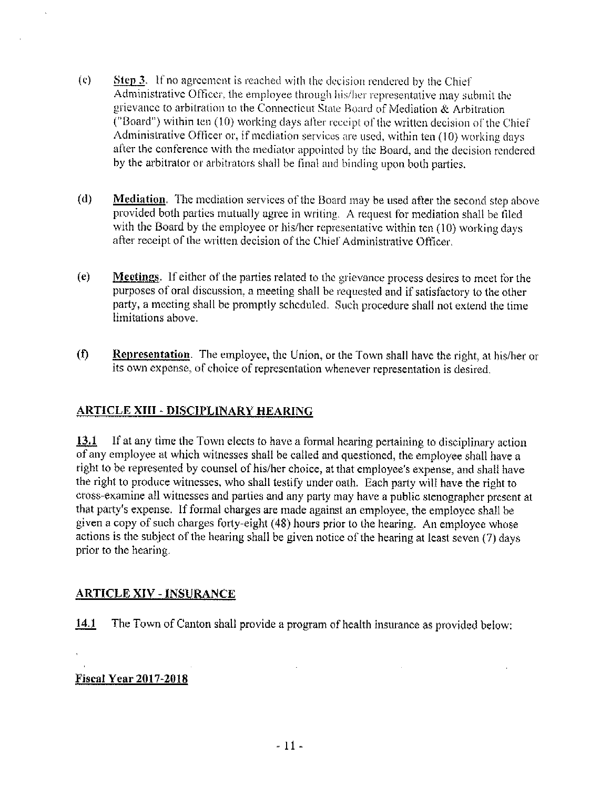- $\left( \mathbf{c} \right)$ **Step 3.** If no agreement is reached with the decision rendered by the Chief Administrative Officer, the employee through his/her representative may submit the grievance to arbitration to the Connecticut State Board of Mediation & Arbitration ("Board") within ten (10) working days after receipt of the written decision of the Chief Administrative Officer or, if mediation services are used, within ten (10) working days after the conference with the mediator appointed by the Board, and the decision rendered by the arbitrator or arbitrators shall be final and binding upon both parties.
- $(d)$ Mediation. The mediation services of the Board may be used after the second step above provided both parties mutually agree in writing. A request for mediation shall be filed with the Board by the employee or his/her representative within ten (10) working days after receipt of the written decision of the Chief Administrative Officer.
- $(e)$ **Meetings**. If either of the parties related to the grievance process desires to meet for the purposes of oral discussion, a meeting shall be requested and if satisfactory to the other party, a meeting shall be promptly scheduled. Such procedure shall not extend the time limitations above.
- Representation. The employee, the Union, or the Town shall have the right, at his/her or  $(f)$ its own expense, of choice of representation whenever representation is desired.

#### **ARTICLE XIII - DISCIPLINARY HEARING**

If at any time the Town elects to have a formal hearing pertaining to disciplinary action 13.1 of any employee at which witnesses shall be called and questioned, the employee shall have a right to be represented by counsel of his/her choice, at that employee's expense, and shall have the right to produce witnesses, who shall testify under oath. Each party will have the right to cross-examine all witnesses and parties and any party may have a public stenographer present at that party's expense. If formal charges are made against an employee, the employee shall be given a copy of such charges forty-eight (48) hours prior to the hearing. An employee whose actions is the subject of the hearing shall be given notice of the hearing at least seven (7) days prior to the hearing.

#### **ARTICLE XIV - INSURANCE**

The Town of Canton shall provide a program of health insurance as provided below: 14.1

 $\mathcal{L}$ 

 $\sim$ 

#### **Fiscal Year 2017-2018**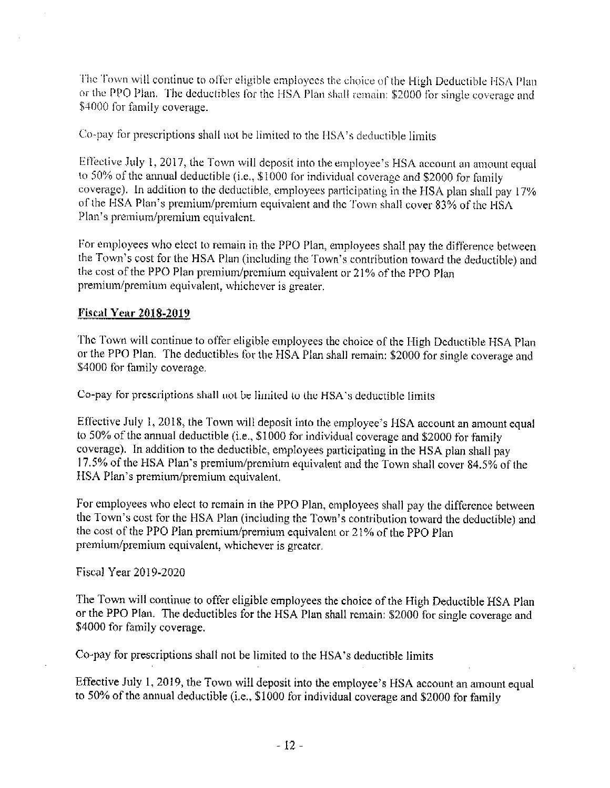The Town will continue to offer eligible employees the choice of the High Deductible HSA Plan or the PPO Plan. The deductibles for the HSA Plan shall remain: \$2000 for single coverage and \$4000 for family coverage.

Co-pay for prescriptions shall not be limited to the HSA's deductible limits

Effective July 1, 2017, the Town will deposit into the employee's HSA account an amount equal to 50% of the annual deductible (i.e., \$1000 for individual coverage and \$2000 for family coverage). In addition to the deductible, employees participating in the HSA plan shall pay 17% of the HSA Plan's premium/premium equivalent and the Town shall cover 83% of the HSA Plan's premium/premium equivalent.

For employees who elect to remain in the PPO Plan, employees shall pay the difference between the Town's cost for the HSA Plan (including the Town's contribution toward the deductible) and the cost of the PPO Plan premium/premium equivalent or 21% of the PPO Plan premium/premium equivalent, whichever is greater.

#### **Fiscal Year 2018-2019**

The Town will continue to offer eligible employees the choice of the High Deductible HSA Plan or the PPO Plan. The deductibles for the HSA Plan shall remain: \$2000 for single coverage and \$4000 for family coverage.

Co-pay for prescriptions shall not be limited to the HSA's deductible limits

Effective July 1, 2018, the Town will deposit into the employee's HSA account an amount equal to 50% of the annual deductible (i.e., \$1000 for individual coverage and \$2000 for family coverage). In addition to the deductible, employees participating in the HSA plan shall pay 17.5% of the HSA Plan's premium/premium equivalent and the Town shall cover 84.5% of the HSA Plan's premium/premium equivalent.

For employees who elect to remain in the PPO Plan, employees shall pay the difference between the Town's cost for the HSA Plan (including the Town's contribution toward the deductible) and the cost of the PPO Plan premium/premium equivalent or 21% of the PPO Plan premium/premium equivalent, whichever is greater.

Fiscal Year 2019-2020

The Town will continue to offer eligible employees the choice of the High Deductible HSA Plan or the PPO Plan. The deductibles for the HSA Plan shall remain: \$2000 for single coverage and \$4000 for family coverage.

Co-pay for prescriptions shall not be limited to the HSA's deductible limits

Effective July 1, 2019, the Town will deposit into the employee's HSA account an amount equal to 50% of the annual deductible (i.e., \$1000 for individual coverage and \$2000 for family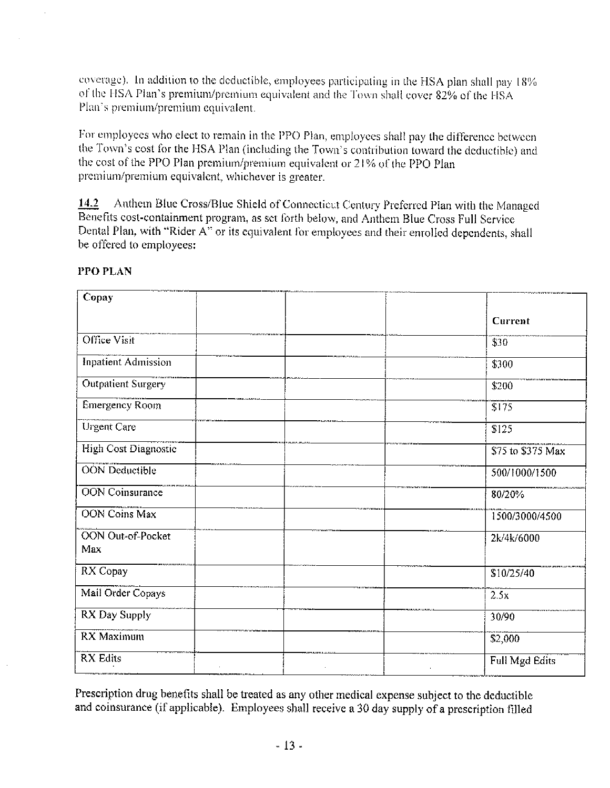coverage). In addition to the deductible, employees participating in the HSA plan shall pay 18% of the HSA Plan's premium/premium equivalent and the Town shall cover 82% of the HSA Plan's premium/premium equivalent.

For employees who elect to remain in the PPO Plan, employees shall pay the difference between the Town's cost for the HSA Plan (including the Town's contribution toward the deductible) and the cost of the PPO Plan premium/premium equivalent or 21% of the PPO Plan premium/premium equivalent, whichever is greater.

Anthem Blue Cross/Blue Shield of Connecticut Century Preferred Plan with the Managed 14.2 Benefits cost-containment program, as set forth below, and Anthem Blue Cross Full Service Dental Plan, with "Rider A" or its equivalent for employees and their enrolled dependents, shall be offered to employees:

| Copay                           |                   |
|---------------------------------|-------------------|
|                                 | Current           |
| Office Visit                    | \$30              |
| <b>Inpatient Admission</b>      | \$300             |
| Outpatient Surgery              | \$200             |
| <b>Emergency Room</b>           | \$175             |
| <b>Urgent Care</b>              | \$125             |
| High Cost Diagnostic            | \$75 to \$375 Max |
| <b>OON</b> Deductible           | 500/1000/1500     |
| <b>OON</b> Coinsurance          | 80/20%            |
| <b>OON Coins Max</b>            | 1500/3000/4500    |
| <b>OON</b> Out-of-Pocket<br>Max | 2k/4k/6000        |
| RX Copay                        | \$10/25/40        |
| Mail Order Copays               | 2.5x              |
| RX Day Supply                   | 30/90             |
| <b>RX</b> Maximum               | \$2,000           |
| <b>RX</b> Edits                 | Full Mgd Edits    |
|                                 |                   |

#### PPO PLAN

Prescription drug benefits shall be treated as any other medical expense subject to the deductible and coinsurance (if applicable). Employees shall receive a 30 day supply of a prescription filled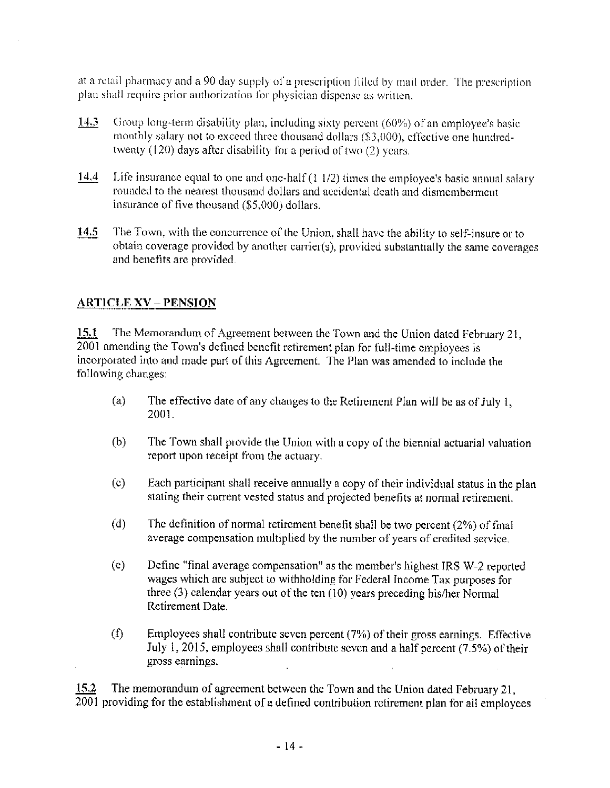at a retail pharmacy and a 90 day supply of a prescription filled by mail order. The prescription plan shall require prior authorization for physician dispense as written.

- $14.3$ Group long-term disability plan, including sixty percent (60%) of an employee's basic monthly salary not to exceed three thousand dollars (\$3,000), effective one hundredtwenty (120) days after disability for a period of two (2) years.
- $14.4$ Life insurance equal to one and one-half  $(1\ 1/2)$  times the employee's basic annual salary rounded to the nearest thousand dollars and accidental death and dismemberment insurance of five thousand (\$5,000) dollars.
- 14.5 The Town, with the concurrence of the Union, shall have the ability to self-insure or to obtain coverage provided by another carrier(s), provided substantially the same coverages and benefits are provided.

#### **ARTICLE XV - PENSION**

The Memorandum of Agreement between the Town and the Union dated February 21, 15.1 2001 amending the Town's defined benefit retirement plan for full-time employees is incorporated into and made part of this Agreement. The Plan was amended to include the following changes:

- The effective date of any changes to the Retirement Plan will be as of July 1,  $(a)$ 2001.
- $(b)$ The Town shall provide the Union with a copy of the biennial actuarial valuation report upon receipt from the actuary.
- $(c)$ Each participant shall receive annually a copy of their individual status in the plan stating their current vested status and projected benefits at normal retirement.
- $(d)$ The definition of normal retirement benefit shall be two percent  $(2\%)$  of final average compensation multiplied by the number of years of credited service.
- $(e)$ Define "final average compensation" as the member's highest IRS W-2 reported wages which are subject to withholding for Federal Income Tax purposes for three  $(3)$  calendar years out of the ten  $(10)$  years preceding his/her Normal Retirement Date.
- $(1)$ Employees shall contribute seven percent (7%) of their gross earnings. Effective July 1, 2015, employees shall contribute seven and a half percent (7.5%) of their gross earnings.

 $15.2$ The memorandum of agreement between the Town and the Union dated February 21, 2001 providing for the establishment of a defined contribution retirement plan for all employees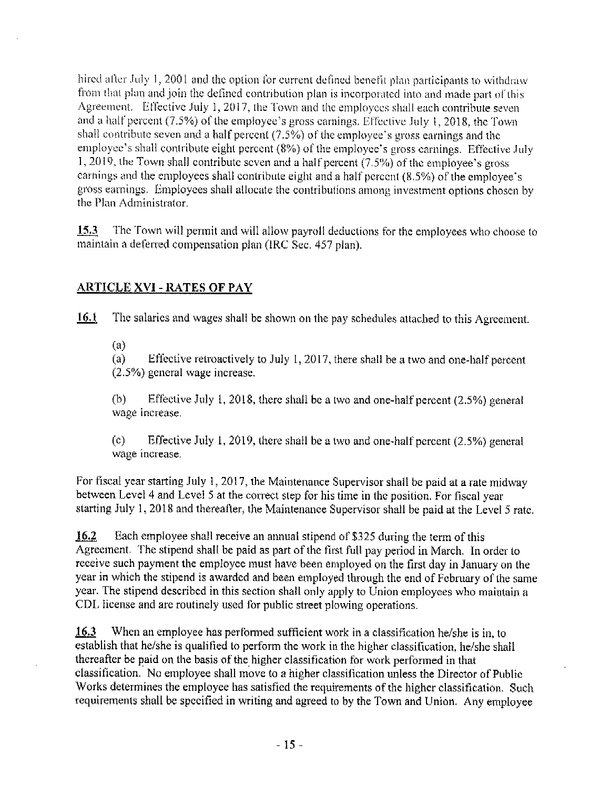hired after July 1, 2001 and the option for current defined benefit plan participants to withdraw from that plan and join the defined contribution plan is incorporated into and made part of this Agreement. Effective July 1, 2017, the Town and the employees shall each contribute seven and a half percent (7.5%) of the employee's gross carnings. Effective July 1, 2018, the Town shall contribute seven and a half percent  $(7.5%)$  of the employee's gross earnings and the employee's shall contribute eight percent (8%) of the employee's gross carnings. Effective July 1, 2019, the Town shall contribute seven and a half percent  $(7.5%)$  of the employee's gross carnings and the employees shall contribute eight and a half percent (8.5%) of the employee's gross earnings. Employees shall allocate the contributions among investment options chosen by the Plan Administrator.

The Town will permit and will allow payroll deductions for the employees who choose to  $15.3$ maintain a deferred compensation plan (IRC Sec. 457 plan).

# **ARTICLE XVI - RATES OF PAY**

16.1 The salaries and wages shall be shown on the pay schedules attached to this Agreement.

 $(a)$ 

 $(a)$ Effective retroactively to July 1, 2017, there shall be a two and one-half percent  $(2.5\%)$  general wage increase.

 $(b)$ Effective July 1, 2018, there shall be a two and one-half percent  $(2.5\%)$  general wage increase.

 $(c)$ Effective July 1, 2019, there shall be a two and one-half percent  $(2.5\%)$  general wage increase.

For fiscal year starting July 1, 2017, the Maintenance Supervisor shall be paid at a rate midway between Level 4 and Level 5 at the correct step for his time in the position. For fiscal year starting July 1, 2018 and thereafter, the Maintenance Supervisor shall be paid at the Level 5 rate.

16.2 Each employee shall receive an annual stipend of \$325 during the term of this Agreement. The stipend shall be paid as part of the first full pay period in March. In order to receive such payment the employee must have been employed on the first day in January on the year in which the stipend is awarded and been employed through the end of February of the same year. The stipend described in this section shall only apply to Union employees who maintain a CDL license and are routinely used for public street plowing operations.

When an employee has performed sufficient work in a classification he/she is in, to 16.3 establish that he/she is qualified to perform the work in the higher classification, he/she shall thereafter be paid on the basis of the higher classification for work performed in that classification. No employee shall move to a higher classification unless the Director of Public Works determines the employee has satisfied the requirements of the higher classification. Such requirements shall be specified in writing and agreed to by the Town and Union. Any employee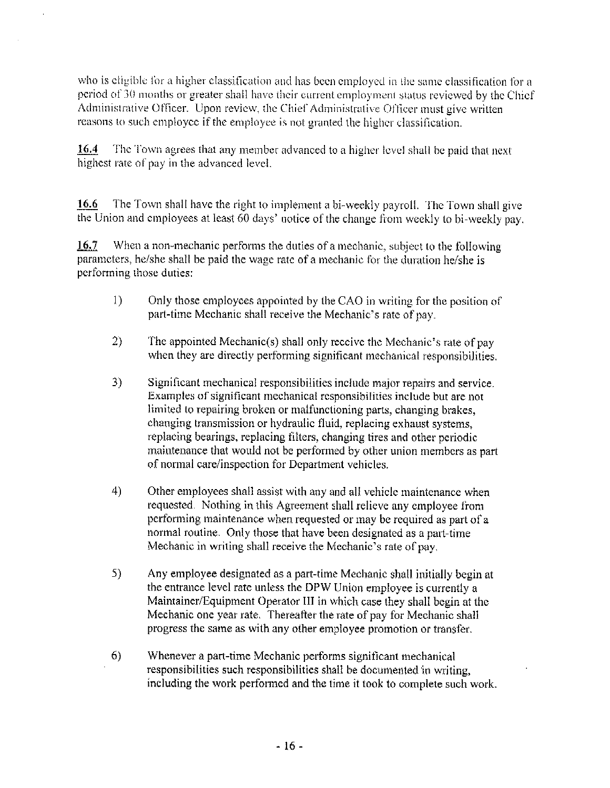who is eligible for a higher classification and has been employed in the same classification for a period of 30 months or greater shall have their current employment status reviewed by the Chief Administrative Officer. Upon review, the Chief Administrative Officer must give written reasons to such employee if the employee is not granted the higher classification.

16.4 The Town agrees that any member advanced to a higher level shall be paid that next highest rate of pay in the advanced level.

The Town shall have the right to implement a bi-weekly payroll. The Town shall give 16.6 the Union and employees at least 60 days' notice of the change from weekly to bi-weekly pay.

16.7 When a non-mechanic performs the duties of a mechanic, subject to the following parameters, he/she shall be paid the wage rate of a mechanic for the duration he/she is performing those duties:

- $\left( \frac{1}{2} \right)$ Only those employees appointed by the CAO in writing for the position of part-time Mechanic shall receive the Mechanic's rate of pay.
- $2)$ The appointed Mechanic(s) shall only receive the Mechanic's rate of pay when they are directly performing significant mechanical responsibilities.
- 3) Significant mechanical responsibilities include major repairs and service. Examples of significant mechanical responsibilities include but are not limited to repairing broken or malfunctioning parts, changing brakes, changing transmission or hydraulic fluid, replacing exhaust systems, replacing bearings, replacing filters, changing tires and other periodic maintenance that would not be performed by other union members as part of normal care/inspection for Department vehicles.
- 4) Other employees shall assist with any and all vehicle maintenance when requested. Nothing in this Agreement shall relieve any employee from performing maintenance when requested or may be required as part of a normal routine. Only those that have been designated as a part-time Mechanic in writing shall receive the Mechanic's rate of pay.
- 5) Any employee designated as a part-time Mechanic shall initially begin at the entrance level rate unless the DPW Union employee is currently a Maintainer/Equipment Operator III in which case they shall begin at the Mechanic one year rate. Thereafter the rate of pay for Mechanic shall progress the same as with any other employee promotion or transfer.
- Whenever a part-time Mechanic performs significant mechanical 6) responsibilities such responsibilities shall be documented in writing. including the work performed and the time it took to complete such work.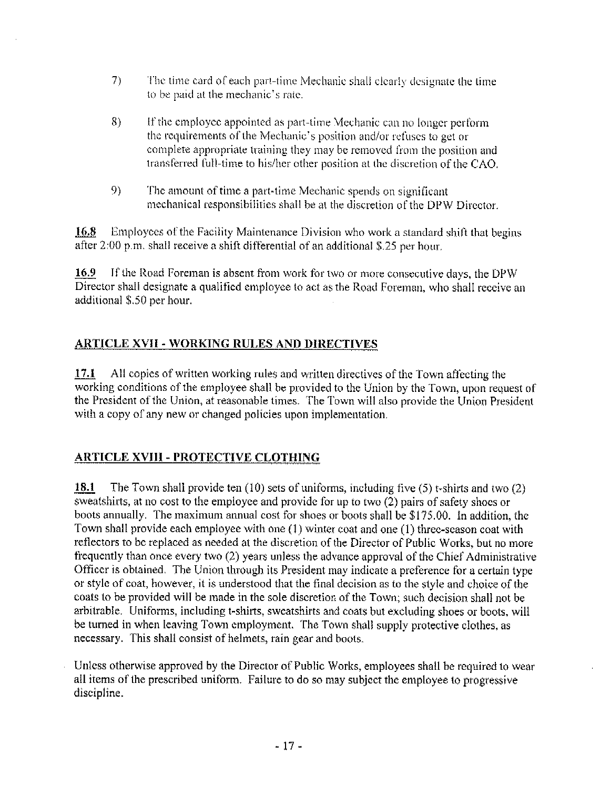- 7) The time card of each part-time Mechanic shall clearly designate the time to be paid at the mechanic's rate.
- 8) If the employee appointed as part-time Mechanic can no longer perform the requirements of the Mechanic's position and/or refuses to get or complete appropriate training they may be removed from the position and transferred full-time to his/her other position at the discretion of the CAO.
- 9) The amount of time a part-time Mechanic spends on significant mechanical responsibilities shall be at the discretion of the DPW Director.

16.8 Employees of the Facility Maintenance Division who work a standard shift that begins after 2:00 p.m. shall receive a shift differential of an additional \$.25 per hour.

16.9 If the Road Foreman is absent from work for two or more consecutive days, the DPW Director shall designate a qualified employee to act as the Road Foreman, who shall receive an additional \$.50 per hour.

# **ARTICLE XVII - WORKING RULES AND DIRECTIVES**

17.1 All copies of written working rules and written directives of the Town affecting the working conditions of the employee shall be provided to the Union by the Town, upon request of the President of the Union, at reasonable times. The Town will also provide the Union President with a copy of any new or changed policies upon implementation.

# **ARTICLE XVIII - PROTECTIVE CLOTHING**

18.1 The Town shall provide ten  $(10)$  sets of uniforms, including five  $(5)$  t-shirts and two  $(2)$ sweatshirts, at no cost to the employee and provide for up to two (2) pairs of safety shoes or boots annually. The maximum annual cost for shoes or boots shall be \$175.00. In addition, the Town shall provide each employee with one (1) winter coat and one (1) three-season coat with reflectors to be replaced as needed at the discretion of the Director of Public Works, but no more frequently than once every two (2) years unless the advance approval of the Chief Administrative Officer is obtained. The Union through its President may indicate a preference for a certain type or style of coat, however, it is understood that the final decision as to the style and choice of the coats to be provided will be made in the sole discretion of the Town; such decision shall not be arbitrable. Uniforms, including t-shirts, sweatshirts and coats but excluding shoes or boots, will be turned in when leaving Town employment. The Town shall supply protective clothes, as necessary. This shall consist of helmets, rain gear and boots.

Unless otherwise approved by the Director of Public Works, employees shall be required to wear all items of the prescribed uniform. Failure to do so may subject the employee to progressive discipline.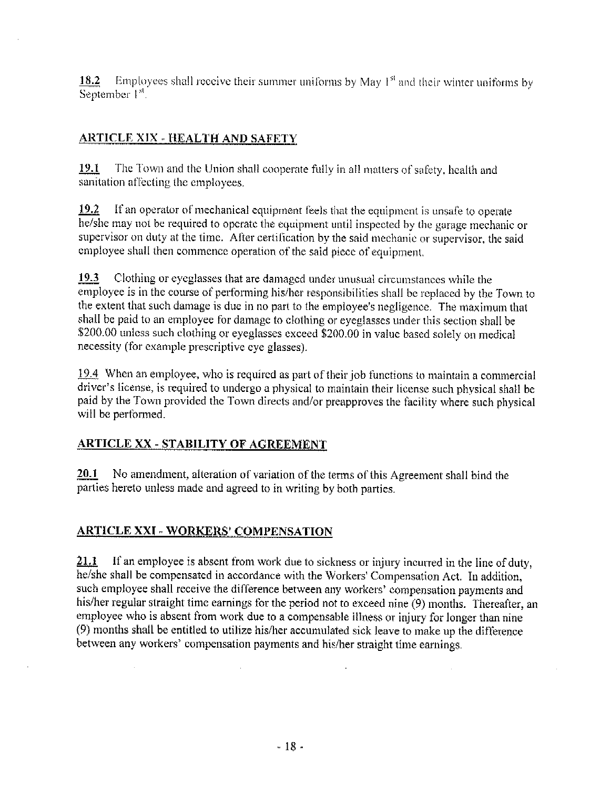Employees shall receive their summer uniforms by May  $1<sup>st</sup>$  and their winter uniforms by 18.2 September<sup>1st</sup>.

#### **ARTICLE XIX - HEALTH AND SAFETY**

The Town and the Union shall cooperate fully in all matters of safety, health and 19.1 sanitation affecting the employees.

If an operator of mechanical equipment feels that the equipment is unsafe to operate  $19.2^{\circ}$ he/she may not be required to operate the equipment until inspected by the garage mechanic or supervisor on duty at the time. After certification by the said mechanic or supervisor, the said employee shall then commence operation of the said piece of equipment.

Clothing or eyeglasses that are damaged under unusual circumstances while the 19.3 employee is in the course of performing his/her responsibilities shall be replaced by the Town to the extent that such damage is due in no part to the employee's negligence. The maximum that shall be paid to an employee for damage to clothing or eyeglasses under this section shall be \$200.00 unless such clothing or eyeglasses exceed \$200.00 in value based solely on medical necessity (for example prescriptive eye glasses).

19.4 When an employee, who is required as part of their job functions to maintain a commercial driver's license, is required to undergo a physical to maintain their license such physical shall be paid by the Town provided the Town directs and/or preapproves the facility where such physical will be performed.

#### **ARTICLE XX - STABILITY OF AGREEMENT**

No amendment, alteration of variation of the terms of this Agreement shall bind the 20.1 parties hereto unless made and agreed to in writing by both parties.

#### **ARTICLE XXI - WORKERS' COMPENSATION**

21.1 If an employee is absent from work due to sickness or injury incurred in the line of duty, he/she shall be compensated in accordance with the Workers' Compensation Act. In addition, such employee shall receive the difference between any workers' compensation payments and his/her regular straight time earnings for the period not to exceed nine (9) months. Thereafter, an employee who is absent from work due to a compensable illness or injury for longer than nine (9) months shall be entitled to utilize his/her accumulated sick leave to make up the difference between any workers' compensation payments and his/her straight time earnings.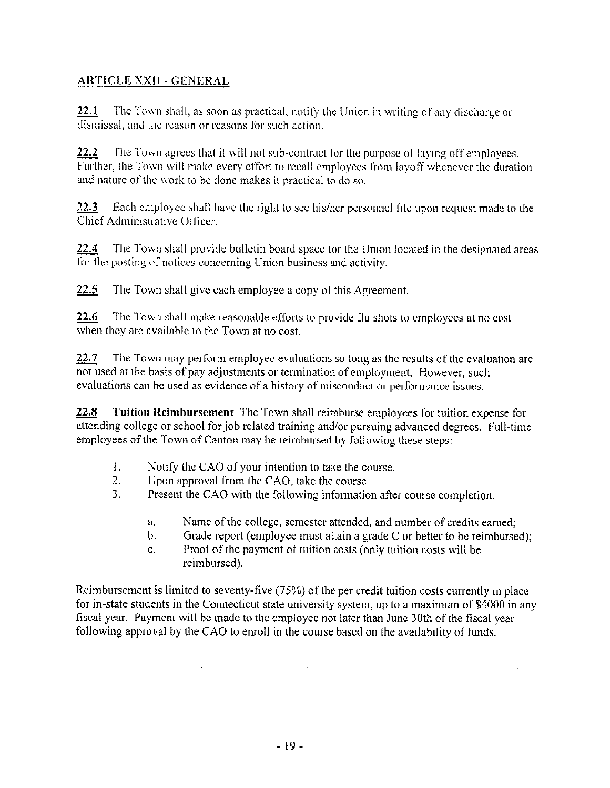# **ARTICLE XXII - GENERAL**

 $\mathcal{L}^{\text{max}}$ 

 $22.1$ The Town shall, as soon as practical, notify the Union in writing of any discharge or dismissal, and the reason or reasons for such action.

22.2 The Town agrees that it will not sub-contract for the purpose of laying off employees. Further, the Town will make every effort to recall employees from layoff whenever the duration and nature of the work to be done makes it practical to do so.

22.3 Each employee shall have the right to see his/her personnel file upon request made to the Chief Administrative Officer.

The Town shall provide bulletin board space for the Union located in the designated areas 22.4 for the posting of notices concerning Union business and activity.

 $22.5$ The Town shall give each employee a copy of this Agreement.

22.6 The Town shall make reasonable efforts to provide flu shots to employees at no cost when they are available to the Town at no cost.

The Town may perform employee evaluations so long as the results of the evaluation are 22.7 not used at the basis of pay adjustments or termination of employment. However, such evaluations can be used as evidence of a history of misconduct or performance issues.

22.8 **Tuition Reimbursement** The Town shall reimburse employees for tuition expense for attending college or school for job related training and/or pursuing advanced degrees. Full-time employees of the Town of Canton may be reimbursed by following these steps:

- $\mathbf{1}$ . Notify the CAO of your intention to take the course.
- $\overline{2}$ . Upon approval from the CAO, take the course.

 $\mathcal{L}^{\text{max}}$ 

- 3. Present the CAO with the following information after course completion:
	- Name of the college, semester attended, and number of credits earned; a.
	- Grade report (employee must attain a grade C or better to be reimbursed);  $\mathbf b$ .

 $\mathbf{r}$ 

Proof of the payment of tuition costs (only tuition costs will be  $\mathbf{C}$ . reimbursed).

Reimbursement is limited to seventy-five (75%) of the per credit tuition costs currently in place for in-state students in the Connecticut state university system, up to a maximum of \$4000 in any fiscal year. Payment will be made to the employee not later than June 30th of the fiscal year following approval by the CAO to enroll in the course based on the availability of funds.

 $\sim 10^{-1}$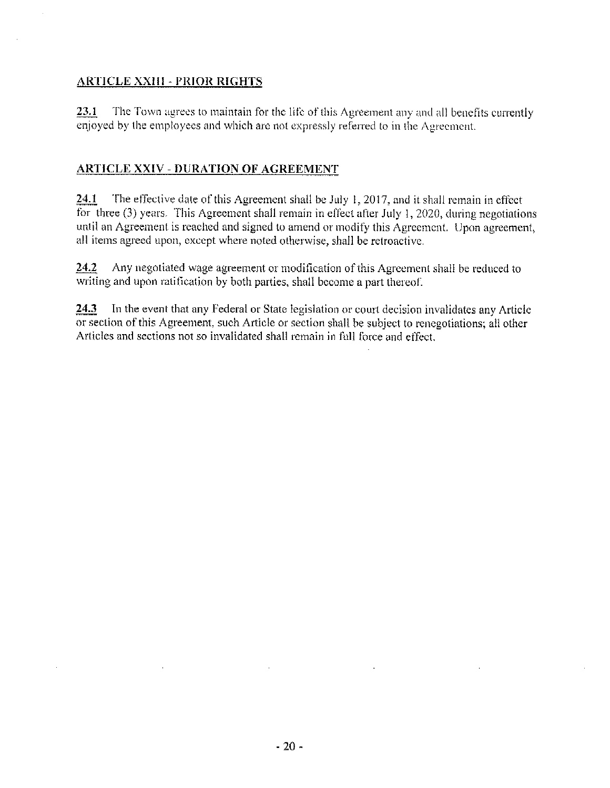#### **ARTICLE XXIII - PRIOR RIGHTS**

23.1 The Town agrees to maintain for the life of this Agreement any and all benefits currently enjoyed by the employees and which are not expressly referred to in the Agreement.

## **ARTICLE XXIV - DURATION OF AGREEMENT**

24.1 The effective date of this Agreement shall be July 1, 2017, and it shall remain in effect for three  $(3)$  years. This Agreement shall remain in effect after July 1, 2020, during negotiations until an Agreement is reached and signed to amend or modify this Agreement. Upon agreement, all items agreed upon, except where noted otherwise, shall be retroactive.

24.2 Any negotiated wage agreement or modification of this Agreement shall be reduced to writing and upon ratification by both parties, shall become a part thereof.

24.3 In the event that any Federal or State legislation or court decision invalidates any Article or section of this Agreement, such Article or section shall be subject to renegotiations; all other Articles and sections not so invalidated shall remain in full force and effect.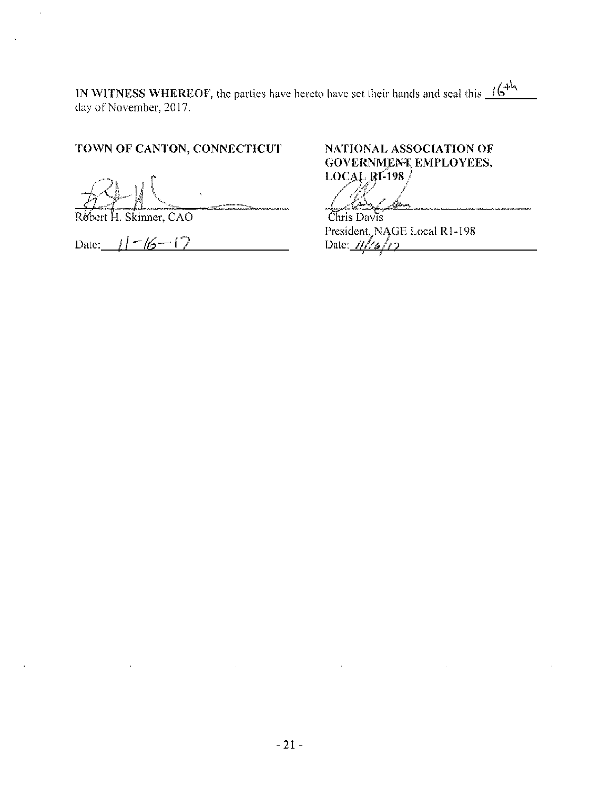IN WITNESS WHEREOF, the parties have hereto have set their hands and seal this  $\frac{1644}{164}$ day of November, 2017.

# TOWN OF CANTON, CONNECTICUT

Rebert H. Skinner, CAO

 $\bar{z}$ 

 $\Delta$ 

Date:  $1 - 16 - 17$ 

# NATIONAL ASSOCIATION OF GOVERNMENT EMPLOYEES, **LOCAL RI-198**

.<br>In 1981, the New Sea Lead of the United States And States (1991) - Cherman Chris Davis

President, NAGE Local R1-198<br>Date:  $1/16/12$ 

 $\mathcal{L}(\mathcal{L}(\mathcal{L}(\mathcal{L}(\mathcal{L}(\mathcal{L}(\mathcal{L}(\mathcal{L}(\mathcal{L}(\mathcal{L}(\mathcal{L}(\mathcal{L}(\mathcal{L}(\mathcal{L}(\mathcal{L}(\mathcal{L}(\mathcal{L}(\mathcal{L}(\mathcal{L}(\mathcal{L}(\mathcal{L}(\mathcal{L}(\mathcal{L}(\mathcal{L}(\mathcal{L}(\mathcal{L}(\mathcal{L}(\mathcal{L}(\mathcal{L}(\mathcal{L}(\mathcal{L}(\mathcal{L}(\mathcal{L}(\mathcal{L}(\mathcal{L}(\mathcal{L}(\mathcal{$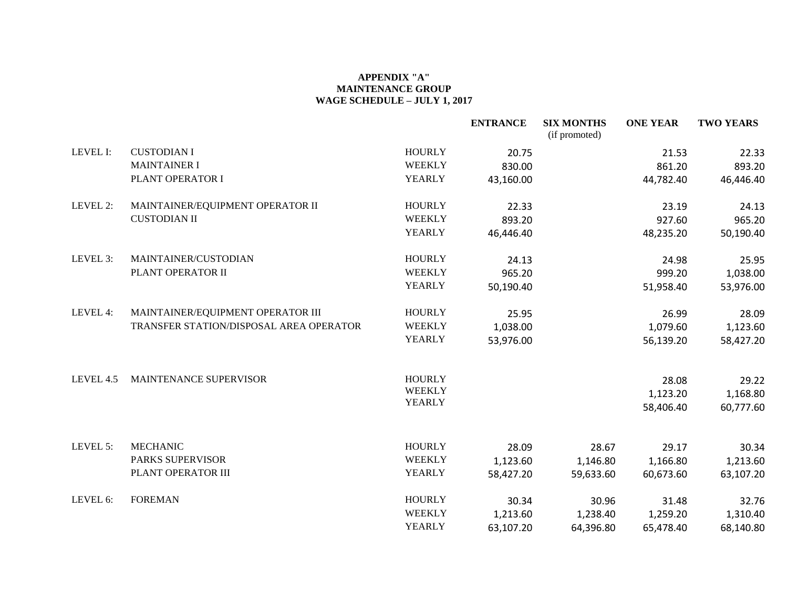#### **APPENDIX "A" MAINTENANCE GROUP WAGE SCHEDULE – JULY 1, 2017**

|           |                                         |               | <b>ENTRANCE</b> | <b>SIX MONTHS</b><br>(if promoted) | <b>ONE YEAR</b>   | <b>TWO YEARS</b>  |
|-----------|-----------------------------------------|---------------|-----------------|------------------------------------|-------------------|-------------------|
| LEVEL I:  | <b>CUSTODIAN I</b>                      | <b>HOURLY</b> | 20.75           |                                    | 21.53             | 22.33             |
|           | <b>MAINTAINER I</b>                     | <b>WEEKLY</b> | 830.00          |                                    | 861.20            | 893.20            |
|           | PLANT OPERATOR I                        | <b>YEARLY</b> | 43,160.00       |                                    | 44,782.40         | 46,446.40         |
| LEVEL 2:  | MAINTAINER/EQUIPMENT OPERATOR II        | <b>HOURLY</b> | 22.33           |                                    | 23.19             | 24.13             |
|           | <b>CUSTODIAN II</b>                     | <b>WEEKLY</b> | 893.20          |                                    | 927.60            | 965.20            |
|           |                                         | <b>YEARLY</b> | 46,446.40       |                                    | 48,235.20         | 50,190.40         |
| LEVEL 3:  | MAINTAINER/CUSTODIAN                    | <b>HOURLY</b> | 24.13           |                                    | 24.98             | 25.95             |
|           | PLANT OPERATOR II                       | <b>WEEKLY</b> | 965.20          |                                    | 999.20            | 1,038.00          |
|           |                                         | YEARLY        | 50,190.40       |                                    | 51,958.40         | 53,976.00         |
| LEVEL 4:  | MAINTAINER/EQUIPMENT OPERATOR III       | <b>HOURLY</b> | 25.95           |                                    | 26.99             | 28.09             |
|           | TRANSFER STATION/DISPOSAL AREA OPERATOR | <b>WEEKLY</b> | 1,038.00        |                                    | 1,079.60          | 1,123.60          |
|           |                                         | <b>YEARLY</b> | 53,976.00       |                                    | 56,139.20         | 58,427.20         |
| LEVEL 4.5 | MAINTENANCE SUPERVISOR                  | <b>HOURLY</b> |                 |                                    |                   |                   |
|           |                                         | <b>WEEKLY</b> |                 |                                    | 28.08<br>1,123.20 | 29.22<br>1,168.80 |
|           |                                         | <b>YEARLY</b> |                 |                                    | 58,406.40         | 60,777.60         |
|           |                                         |               |                 |                                    |                   |                   |
| LEVEL 5:  | <b>MECHANIC</b>                         | <b>HOURLY</b> | 28.09           | 28.67                              | 29.17             | 30.34             |
|           | <b>PARKS SUPERVISOR</b>                 | <b>WEEKLY</b> | 1,123.60        | 1,146.80                           | 1,166.80          | 1,213.60          |
|           | PLANT OPERATOR III                      | <b>YEARLY</b> | 58,427.20       | 59,633.60                          | 60,673.60         | 63,107.20         |
| LEVEL 6:  | <b>FOREMAN</b>                          | <b>HOURLY</b> | 30.34           | 30.96                              | 31.48             | 32.76             |
|           |                                         | <b>WEEKLY</b> | 1,213.60        | 1,238.40                           | 1,259.20          | 1,310.40          |
|           |                                         | <b>YEARLY</b> | 63,107.20       | 64,396.80                          | 65,478.40         | 68,140.80         |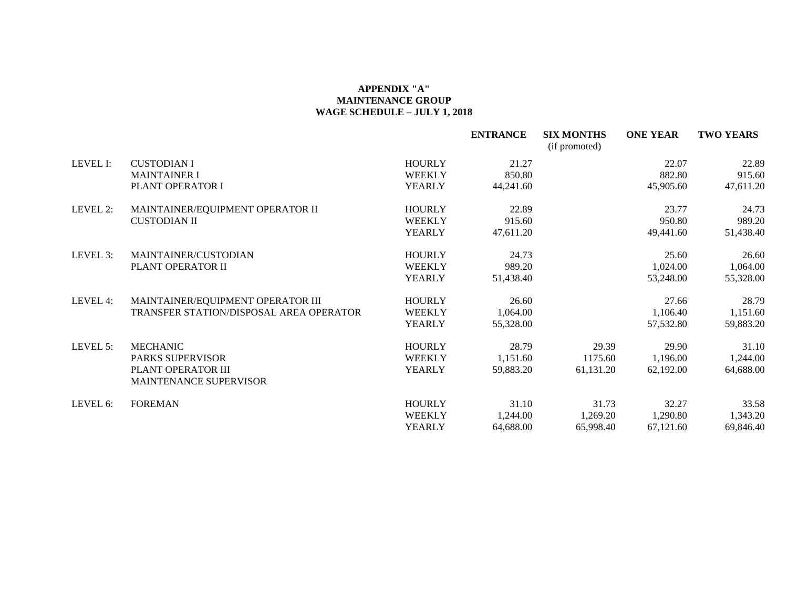#### **APPENDIX "A" MAINTENANCE GROUP WAGE SCHEDULE – JULY 1, 2018**

|          |                                                     |               | <b>ENTRANCE</b> | <b>SIX MONTHS</b><br>(if promoted) | <b>ONE YEAR</b> | <b>TWO YEARS</b> |
|----------|-----------------------------------------------------|---------------|-----------------|------------------------------------|-----------------|------------------|
| LEVEL I: | <b>CUSTODIAN I</b>                                  | <b>HOURLY</b> | 21.27           |                                    | 22.07           | 22.89            |
|          | <b>MAINTAINER I</b>                                 | <b>WEEKLY</b> | 850.80          |                                    | 882.80          | 915.60           |
|          | PLANT OPERATOR I                                    | <b>YEARLY</b> | 44,241.60       |                                    | 45,905.60       | 47,611.20        |
| LEVEL 2: | MAINTAINER/EQUIPMENT OPERATOR II                    | <b>HOURLY</b> | 22.89           |                                    | 23.77           | 24.73            |
|          | <b>CUSTODIAN II</b>                                 | <b>WEEKLY</b> | 915.60          |                                    | 950.80          | 989.20           |
|          |                                                     | <b>YEARLY</b> | 47,611.20       |                                    | 49,441.60       | 51,438.40        |
| LEVEL 3: | MAINTAINER/CUSTODIAN                                | <b>HOURLY</b> | 24.73           |                                    | 25.60           | 26.60            |
|          | PLANT OPERATOR II                                   | <b>WEEKLY</b> | 989.20          |                                    | 1,024.00        | 1,064.00         |
|          |                                                     | <b>YEARLY</b> | 51,438.40       |                                    | 53,248.00       | 55,328.00        |
| LEVEL 4: | MAINTAINER/EQUIPMENT OPERATOR III                   | <b>HOURLY</b> | 26.60           |                                    | 27.66           | 28.79            |
|          | TRANSFER STATION/DISPOSAL AREA OPERATOR             | <b>WEEKLY</b> | 1,064.00        |                                    | 1,106.40        | 1,151.60         |
|          |                                                     | <b>YEARLY</b> | 55,328.00       |                                    | 57,532.80       | 59,883.20        |
| LEVEL 5: | <b>MECHANIC</b>                                     | <b>HOURLY</b> | 28.79           | 29.39                              | 29.90           | 31.10            |
|          | <b>PARKS SUPERVISOR</b>                             | <b>WEEKLY</b> | 1,151.60        | 1175.60                            | 1,196.00        | 1,244.00         |
|          | PLANT OPERATOR III<br><b>MAINTENANCE SUPERVISOR</b> | <b>YEARLY</b> | 59,883.20       | 61,131.20                          | 62,192.00       | 64,688.00        |
| LEVEL 6: | <b>FOREMAN</b>                                      | <b>HOURLY</b> | 31.10           | 31.73                              | 32.27           | 33.58            |
|          |                                                     | <b>WEEKLY</b> | 1,244.00        | 1,269.20                           | 1,290.80        | 1,343.20         |
|          |                                                     | <b>YEARLY</b> | 64,688.00       | 65,998.40                          | 67,121.60       | 69,846.40        |